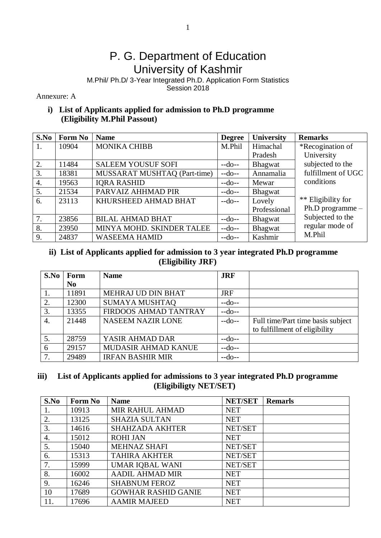## P. G. Department of Education University of Kashmir

M.Phil/ Ph.D/ 3-Year Integrated Ph.D. Application Form Statistics Session 2018

Annexure: A

## **i) List of Applicants applied for admission to Ph.D programme (Eligibility M.Phil Passout)**

| S.No | Form No | <b>Name</b>                  | <b>Degree</b> | University   | <b>Remarks</b>     |
|------|---------|------------------------------|---------------|--------------|--------------------|
| 1.   | 10904   | <b>MONIKA CHIBB</b>          | M.Phil        | Himachal     | *Recogination of   |
|      |         |                              |               | Pradesh      | University         |
| 2.   | 11484   | <b>SALEEM YOUSUF SOFI</b>    | $-do-$        | Bhagwat      | subjected to the   |
| 3.   | 18381   | MUSSARAT MUSHTAQ (Part-time) | $-do-$        | Annamalia    | fulfillment of UGC |
| 4.   | 19563   | <b>IORA RASHID</b>           | $-do-$        | Mewar        | conditions         |
| 5.   | 21534   | PARVAIZ AHHMAD PIR           | $-do-$        | Bhagwat      |                    |
| 6.   | 23113   | KHURSHEED AHMAD BHAT         | $-do-$        | Lovely       | ** Eligibility for |
|      |         |                              |               | Professional | Ph.D programme -   |
| 7.   | 23856   | <b>BILAL AHMAD BHAT</b>      | $-do-$        | Bhagwat      | Subjected to the   |
| 8.   | 23950   | MINYA MOHD. SKINDER TALEE    | $-do-$        | Bhagwat      | regular mode of    |
| 9.   | 24837   | <b>WASEEMA HAMID</b>         | $-do-$        | Kashmir      | M.Phil             |

## **ii) List of Applicants applied for admission to 3 year integrated Ph.D programme (Eligibility JRF)**

| S.No | Form           | <b>Name</b>              | <b>JRF</b> |                                   |
|------|----------------|--------------------------|------------|-----------------------------------|
|      | N <sub>0</sub> |                          |            |                                   |
|      | 11891          | MEHRAJ UD DIN BHAT       | <b>JRF</b> |                                   |
| 2.   | 12300          | <b>SUMAYA MUSHTAQ</b>    | $-do-$     |                                   |
| 3.   | 13355          | FIRDOOS AHMAD TANTRAY    | $-do-$     |                                   |
| 4.   | 21448          | <b>NASEEM NAZIR LONE</b> | $-do-$     | Full time/Part time basis subject |
|      |                |                          |            | to fulfillment of eligibility     |
| 5.   | 28759          | YASIR AHMAD DAR          | $-do-$     |                                   |
| 6    | 29157          | MUDASIR AHMAD KANUE      | $-do-$     |                                   |
| 7.   | 29489          | <b>IRFAN BASHIR MIR</b>  | $-do-$     |                                   |

## **iii) List of Applicants applied for admissions to 3 year integrated Ph.D programme (Eligibiligty NET/SET)**

| S.No | Form No | <b>Name</b>                | <b>NET/SET</b> | <b>Remarls</b> |
|------|---------|----------------------------|----------------|----------------|
| 1.   | 10913   | MIR RAHUL AHMAD            | <b>NET</b>     |                |
| 2.   | 13125   | <b>SHAZIA SULTAN</b>       | <b>NET</b>     |                |
| 3.   | 14616   | <b>SHAHZADA AKHTER</b>     | NET/SET        |                |
| 4.   | 15012   | <b>ROHI JAN</b>            | <b>NET</b>     |                |
| 5.   | 15040   | <b>MEHNAZ SHAFI</b>        | NET/SET        |                |
| 6.   | 15313   | <b>TAHIRA AKHTER</b>       | NET/SET        |                |
| 7.   | 15999   | <b>UMAR IQBAL WANI</b>     | NET/SET        |                |
| 8.   | 16002   | <b>AADIL AHMAD MIR</b>     | <b>NET</b>     |                |
| 9.   | 16246   | <b>SHABNUM FEROZ</b>       | <b>NET</b>     |                |
| 10   | 17689   | <b>GOWHAR RASHID GANIE</b> | <b>NET</b>     |                |
| 11.  | 17696   | <b>AAMIR MAJEED</b>        | <b>NET</b>     |                |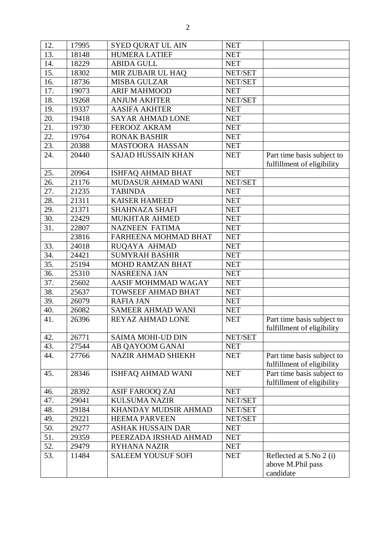| 12. | 17995 | <b>SYED QURAT UL AIN</b>  | <b>NET</b> |                                                           |
|-----|-------|---------------------------|------------|-----------------------------------------------------------|
| 13. | 18148 | <b>HUMERA LATIEF</b>      | <b>NET</b> |                                                           |
| 14. | 18229 | <b>ABIDA GULL</b>         | <b>NET</b> |                                                           |
| 15. | 18302 | MIR ZUBAIR UL HAQ         | NET/SET    |                                                           |
| 16. | 18736 | <b>MISBA GULZAR</b>       | NET/SET    |                                                           |
| 17. | 19073 | <b>ARIF MAHMOOD</b>       | <b>NET</b> |                                                           |
| 18. | 19268 | <b>ANJUM AKHTER</b>       | NET/SET    |                                                           |
| 19. | 19337 | <b>AASIFA AKHTER</b>      | <b>NET</b> |                                                           |
| 20. | 19418 | <b>SAYAR AHMAD LONE</b>   | <b>NET</b> |                                                           |
| 21. | 19730 | <b>FEROOZ AKRAM</b>       | <b>NET</b> |                                                           |
| 22. | 19764 | <b>RONAK BASHIR</b>       | <b>NET</b> |                                                           |
| 23. | 20388 | <b>MASTOORA HASSAN</b>    | <b>NET</b> |                                                           |
| 24. | 20440 | <b>SAJAD HUSSAIN KHAN</b> | <b>NET</b> | Part time basis subject to<br>fulfillment of eligibility  |
| 25. | 20964 | <b>ISHFAQ AHMAD BHAT</b>  | <b>NET</b> |                                                           |
| 26. | 21176 | MUDASUR AHMAD WANI        | NET/SET    |                                                           |
| 27. | 21235 | <b>TABINDA</b>            | <b>NET</b> |                                                           |
| 28. | 21311 | <b>KAISER HAMEED</b>      | <b>NET</b> |                                                           |
| 29. | 21371 | <b>SHAHNAZA SHAFI</b>     | <b>NET</b> |                                                           |
| 30. | 22429 | <b>MUKHTAR AHMED</b>      | <b>NET</b> |                                                           |
| 31. | 22807 | <b>NAZNEEN FATIMA</b>     | <b>NET</b> |                                                           |
|     | 23816 | FARHEENA MOHMAD BHAT      | <b>NET</b> |                                                           |
| 33. | 24018 | RUQAYA AHMAD              | <b>NET</b> |                                                           |
| 34. | 24421 | <b>SUMYRAH BASHIR</b>     | <b>NET</b> |                                                           |
| 35. | 25194 | MOHD RAMZAN BHAT          | <b>NET</b> |                                                           |
| 36. | 25310 | <b>NASREENA JAN</b>       | <b>NET</b> |                                                           |
| 37. | 25602 | AASIF MOHMMAD WAGAY       | <b>NET</b> |                                                           |
| 38. | 25637 | <b>TOWSEEF AHMAD BHAT</b> | <b>NET</b> |                                                           |
| 39. | 26079 | <b>RAFIA JAN</b>          | <b>NET</b> |                                                           |
| 40. | 26082 | <b>SAMEER AHMAD WANI</b>  | <b>NET</b> |                                                           |
| 41. | 26396 | <b>REYAZ AHMAD LONE</b>   | <b>NET</b> | Part time basis subject to<br>fulfillment of eligibility  |
| 42. | 26771 | <b>SAIMA MOHI-UD DIN</b>  | NET/SET    |                                                           |
| 43. | 27544 | AB QAYOOM GANAI           | <b>NET</b> |                                                           |
| 44. | 27766 | NAZIR AHMAD SHIEKH        | <b>NET</b> | Part time basis subject to<br>fulfillment of eligibility  |
| 45. | 28346 | <b>ISHFAQ AHMAD WANI</b>  | <b>NET</b> | Part time basis subject to<br>fulfillment of eligibility  |
| 46. | 28392 | <b>ASIF FAROOQ ZAI</b>    | <b>NET</b> |                                                           |
| 47. | 29041 | <b>KULSUMA NAZIR</b>      | NET/SET    |                                                           |
| 48. | 29184 | KHANDAY MUDSIR AHMAD      | NET/SET    |                                                           |
| 49. | 29221 | <b>HEEMA PARVEEN</b>      | NET/SET    |                                                           |
| 50. | 29277 | <b>ASHAK HUSSAIN DAR</b>  | <b>NET</b> |                                                           |
| 51. | 29359 | PEERZADA IRSHAD AHMAD     | <b>NET</b> |                                                           |
| 52. | 29479 | <b>RYHANA NAZIR</b>       | <b>NET</b> |                                                           |
| 53. | 11484 | <b>SALEEM YOUSUF SOFI</b> | <b>NET</b> | Reflected at S.No 2 (i)<br>above M.Phil pass<br>candidate |
|     |       |                           |            |                                                           |